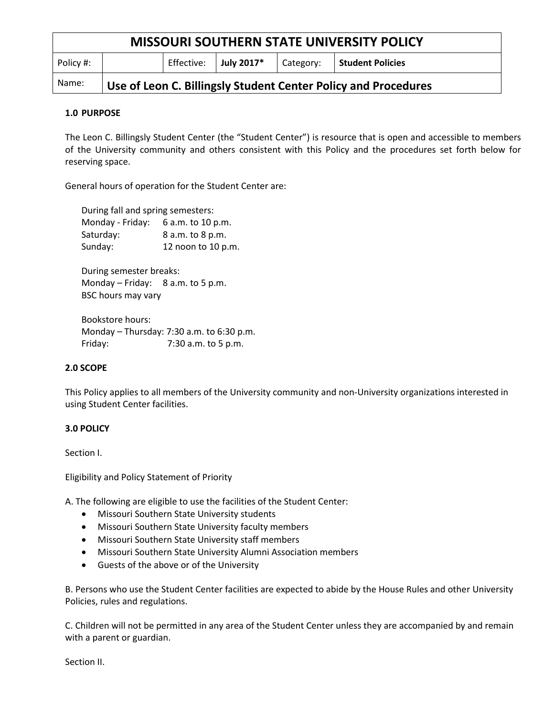| <b>MISSOURI SOUTHERN STATE UNIVERSITY POLICY</b> |                                                                |            |            |           |                  |
|--------------------------------------------------|----------------------------------------------------------------|------------|------------|-----------|------------------|
| Policy #:                                        |                                                                | Effective: | July 2017* | Category: | Student Policies |
| Name:                                            | Use of Leon C. Billingsly Student Center Policy and Procedures |            |            |           |                  |

### **1.0 PURPOSE**

The Leon C. Billingsly Student Center (the "Student Center") is resource that is open and accessible to members of the University community and others consistent with this Policy and the procedures set forth below for reserving space.

General hours of operation for the Student Center are:

During fall and spring semesters: Monday - Friday: 6 a.m. to 10 p.m. Saturday: 8 a.m. to 8 p.m. Sunday: 12 noon to 10 p.m.

During semester breaks: Monday – Friday: 8 a.m. to 5 p.m. BSC hours may vary

Bookstore hours: Monday – Thursday: 7:30 a.m. to 6:30 p.m. Friday: 7:30 a.m. to 5 p.m.

#### **2.0 SCOPE**

This Policy applies to all members of the University community and non-University organizations interested in using Student Center facilities.

#### **3.0 POLICY**

Section I.

Eligibility and Policy Statement of Priority

A. The following are eligible to use the facilities of the Student Center:

- Missouri Southern State University students
- Missouri Southern State University faculty members
- Missouri Southern State University staff members
- Missouri Southern State University Alumni Association members
- Guests of the above or of the University

B. Persons who use the Student Center facilities are expected to abide by the House Rules and other University Policies, rules and regulations.

C. Children will not be permitted in any area of the Student Center unless they are accompanied by and remain with a parent or guardian.

Section II.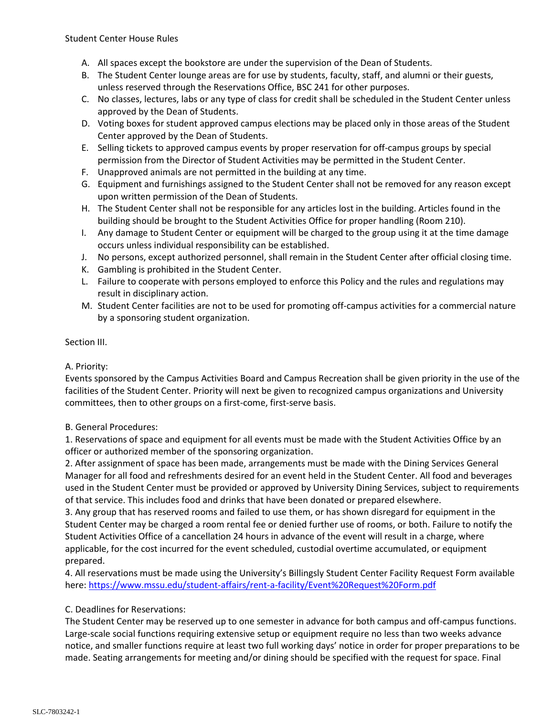- A. All spaces except the bookstore are under the supervision of the Dean of Students.
- B. The Student Center lounge areas are for use by students, faculty, staff, and alumni or their guests, unless reserved through the Reservations Office, BSC 241 for other purposes.
- C. No classes, lectures, labs or any type of class for credit shall be scheduled in the Student Center unless approved by the Dean of Students.
- D. Voting boxes for student approved campus elections may be placed only in those areas of the Student Center approved by the Dean of Students.
- E. Selling tickets to approved campus events by proper reservation for off-campus groups by special permission from the Director of Student Activities may be permitted in the Student Center.
- F. Unapproved animals are not permitted in the building at any time.
- G. Equipment and furnishings assigned to the Student Center shall not be removed for any reason except upon written permission of the Dean of Students.
- H. The Student Center shall not be responsible for any articles lost in the building. Articles found in the building should be brought to the Student Activities Office for proper handling (Room 210).
- I. Any damage to Student Center or equipment will be charged to the group using it at the time damage occurs unless individual responsibility can be established.
- J. No persons, except authorized personnel, shall remain in the Student Center after official closing time.
- K. Gambling is prohibited in the Student Center.
- L. Failure to cooperate with persons employed to enforce this Policy and the rules and regulations may result in disciplinary action.
- M. Student Center facilities are not to be used for promoting off-campus activities for a commercial nature by a sponsoring student organization.

# Section III.

#### A. Priority:

Events sponsored by the Campus Activities Board and Campus Recreation shall be given priority in the use of the facilities of the Student Center. Priority will next be given to recognized campus organizations and University committees, then to other groups on a first-come, first-serve basis.

#### B. General Procedures:

1. Reservations of space and equipment for all events must be made with the Student Activities Office by an officer or authorized member of the sponsoring organization.

2. After assignment of space has been made, arrangements must be made with the Dining Services General Manager for all food and refreshments desired for an event held in the Student Center. All food and beverages used in the Student Center must be provided or approved by University Dining Services, subject to requirements of that service. This includes food and drinks that have been donated or prepared elsewhere.

3. Any group that has reserved rooms and failed to use them, or has shown disregard for equipment in the Student Center may be charged a room rental fee or denied further use of rooms, or both. Failure to notify the Student Activities Office of a cancellation 24 hours in advance of the event will result in a charge, where applicable, for the cost incurred for the event scheduled, custodial overtime accumulated, or equipment prepared.

4. All reservations must be made using the University's Billingsly Student Center Facility Request Form available here:<https://www.mssu.edu/student-affairs/rent-a-facility/Event%20Request%20Form.pdf>

#### C. Deadlines for Reservations:

The Student Center may be reserved up to one semester in advance for both campus and off-campus functions. Large-scale social functions requiring extensive setup or equipment require no less than two weeks advance notice, and smaller functions require at least two full working days' notice in order for proper preparations to be made. Seating arrangements for meeting and/or dining should be specified with the request for space. Final